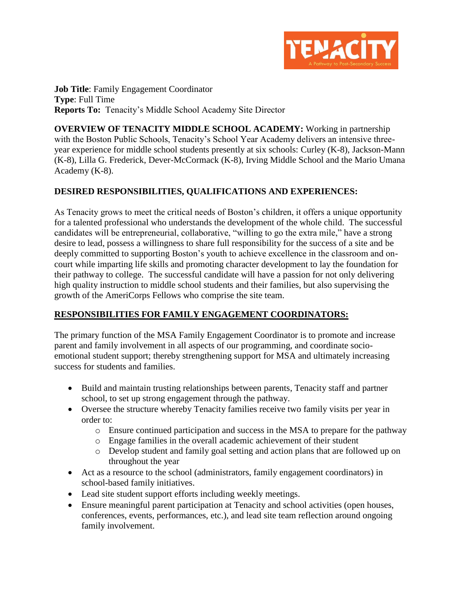

**Job Title:** Family Engagement Coordinator **Type**: Full Time **Reports To:** Tenacity's Middle School Academy Site Director

**OVERVIEW OF TENACITY MIDDLE SCHOOL ACADEMY:** Working in partnership with the Boston Public Schools, Tenacity's School Year Academy delivers an intensive threeyear experience for middle school students presently at six schools: Curley (K-8), Jackson-Mann (K-8), Lilla G. Frederick, Dever-McCormack (K-8), Irving Middle School and the Mario Umana Academy (K-8).

### **DESIRED RESPONSIBILITIES, QUALIFICATIONS AND EXPERIENCES:**

As Tenacity grows to meet the critical needs of Boston's children, it offers a unique opportunity for a talented professional who understands the development of the whole child. The successful candidates will be entrepreneurial, collaborative, "willing to go the extra mile," have a strong desire to lead, possess a willingness to share full responsibility for the success of a site and be deeply committed to supporting Boston's youth to achieve excellence in the classroom and oncourt while imparting life skills and promoting character development to lay the foundation for their pathway to college. The successful candidate will have a passion for not only delivering high quality instruction to middle school students and their families, but also supervising the growth of the AmeriCorps Fellows who comprise the site team.

### **RESPONSIBILITIES FOR FAMILY ENGAGEMENT COORDINATORS:**

The primary function of the MSA Family Engagement Coordinator is to promote and increase parent and family involvement in all aspects of our programming, and coordinate socioemotional student support; thereby strengthening support for MSA and ultimately increasing success for students and families.

- Build and maintain trusting relationships between parents, Tenacity staff and partner school, to set up strong engagement through the pathway.
- Oversee the structure whereby Tenacity families receive two family visits per year in order to:
	- o Ensure continued participation and success in the MSA to prepare for the pathway
	- o Engage families in the overall academic achievement of their student
	- o Develop student and family goal setting and action plans that are followed up on throughout the year
- Act as a resource to the school (administrators, family engagement coordinators) in school-based family initiatives.
- Lead site student support efforts including weekly meetings.
- Ensure meaningful parent participation at Tenacity and school activities (open houses, conferences, events, performances, etc.), and lead site team reflection around ongoing family involvement.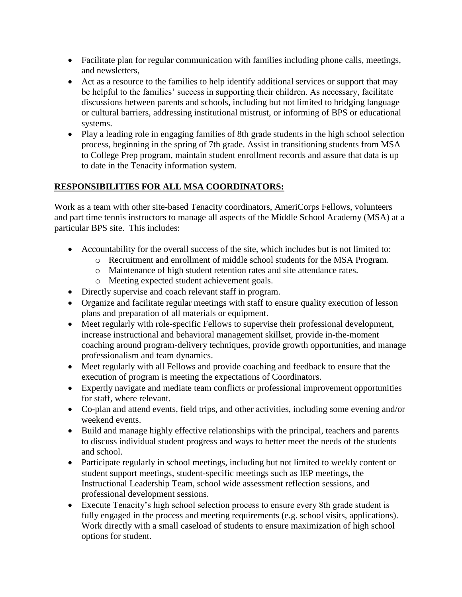- Facilitate plan for regular communication with families including phone calls, meetings, and newsletters,
- Act as a resource to the families to help identify additional services or support that may be helpful to the families' success in supporting their children. As necessary, facilitate discussions between parents and schools, including but not limited to bridging language or cultural barriers, addressing institutional mistrust, or informing of BPS or educational systems.
- Play a leading role in engaging families of 8th grade students in the high school selection process, beginning in the spring of 7th grade. Assist in transitioning students from MSA to College Prep program, maintain student enrollment records and assure that data is up to date in the Tenacity information system.

## **RESPONSIBILITIES FOR ALL MSA COORDINATORS:**

Work as a team with other site-based Tenacity coordinators, AmeriCorps Fellows, volunteers and part time tennis instructors to manage all aspects of the Middle School Academy (MSA) at a particular BPS site. This includes:

- Accountability for the overall success of the site, which includes but is not limited to:
	- o Recruitment and enrollment of middle school students for the MSA Program.
	- o Maintenance of high student retention rates and site attendance rates.
	- o Meeting expected student achievement goals.
- Directly supervise and coach relevant staff in program.
- Organize and facilitate regular meetings with staff to ensure quality execution of lesson plans and preparation of all materials or equipment.
- Meet regularly with role-specific Fellows to supervise their professional development, increase instructional and behavioral management skillset, provide in-the-moment coaching around program-delivery techniques, provide growth opportunities, and manage professionalism and team dynamics.
- Meet regularly with all Fellows and provide coaching and feedback to ensure that the execution of program is meeting the expectations of Coordinators.
- Expertly navigate and mediate team conflicts or professional improvement opportunities for staff, where relevant.
- Co-plan and attend events, field trips, and other activities, including some evening and/or weekend events.
- Build and manage highly effective relationships with the principal, teachers and parents to discuss individual student progress and ways to better meet the needs of the students and school.
- Participate regularly in school meetings, including but not limited to weekly content or student support meetings, student-specific meetings such as IEP meetings, the Instructional Leadership Team, school wide assessment reflection sessions, and professional development sessions.
- Execute Tenacity's high school selection process to ensure every 8th grade student is fully engaged in the process and meeting requirements (e.g. school visits, applications). Work directly with a small caseload of students to ensure maximization of high school options for student.